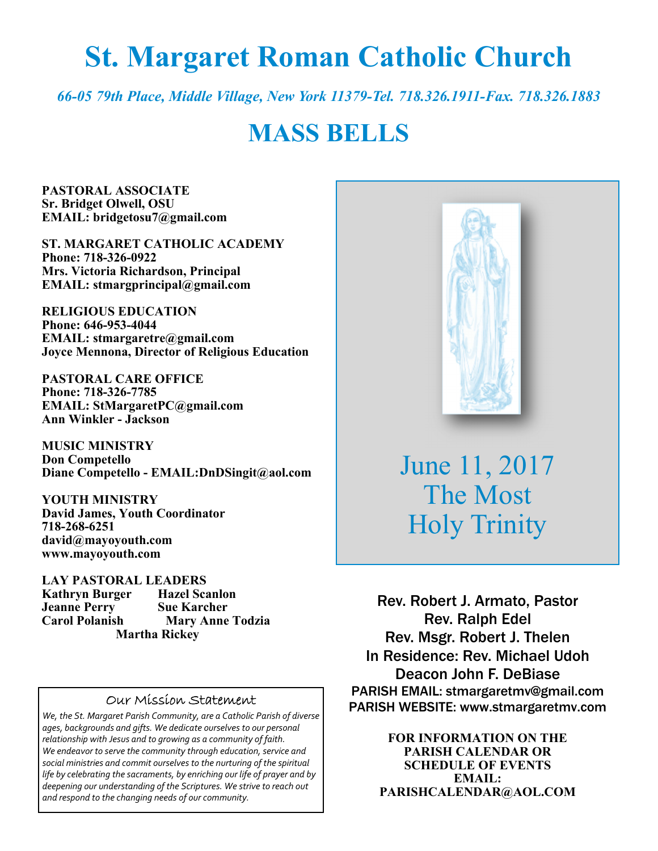# **St. Margaret Roman Catholic Church**

*66-05 79th Place, Middle Village, New York 11379-Tel. 718.326.1911-Fax. 718.326.1883* 

# **MASS BELLS**

**PASTORAL ASSOCIATE Sr. Bridget Olwell, OSU EMAIL: bridgetosu7@gmail.com** 

**ST. MARGARET CATHOLIC ACADEMY Phone: 718-326-0922 Mrs. Victoria Richardson, Principal EMAIL: stmargprincipal@gmail.com** 

**RELIGIOUS EDUCATION Phone: 646-953-4044 EMAIL: stmargaretre@gmail.com Joyce Mennona, Director of Religious Education** 

**PASTORAL CARE OFFICE Phone: 718-326-7785 EMAIL: StMargaretPC@gmail.com Ann Winkler - Jackson** 

**MUSIC MINISTRY Don Competello Diane Competello - EMAIL:DnDSingit@aol.com** 

**YOUTH MINISTRY David James, Youth Coordinator 718-268-6251 david@mayoyouth.com www.mayoyouth.com** 

**LAY PASTORAL LEADERS Kathryn Burger Hazel Scanlon Jeanne Perry Sue Karcher Mary Anne Todzia Martha Rickey** 

#### Our Mission Statement

*We, the St. Margaret Parish Community, are a Catholic Parish of diverse ages, backgrounds and gifts. We dedicate ourselves to our personal relationship with Jesus and to growing as a community of faith. We endeavor to serve the community through education, service and social ministries and commit ourselves to the nurturing of the spiritual life by celebrating the sacraments, by enriching our life of prayer and by deepening our understanding of the Scriptures. We strive to reach out and respond to the changing needs of our community.*



June 11, 2017 The Most Holy Trinity

Rev. Robert J. Armato, Pastor Rev. Ralph Edel Rev. Msgr. Robert J. Thelen In Residence: Rev. Michael Udoh Deacon John F. DeBiase PARISH EMAIL: stmargaretmv@gmail.com PARISH WEBSITE: www.stmargaretmv.com

> **FOR INFORMATION ON THE PARISH CALENDAR OR SCHEDULE OF EVENTS EMAIL: PARISHCALENDAR@AOL.COM**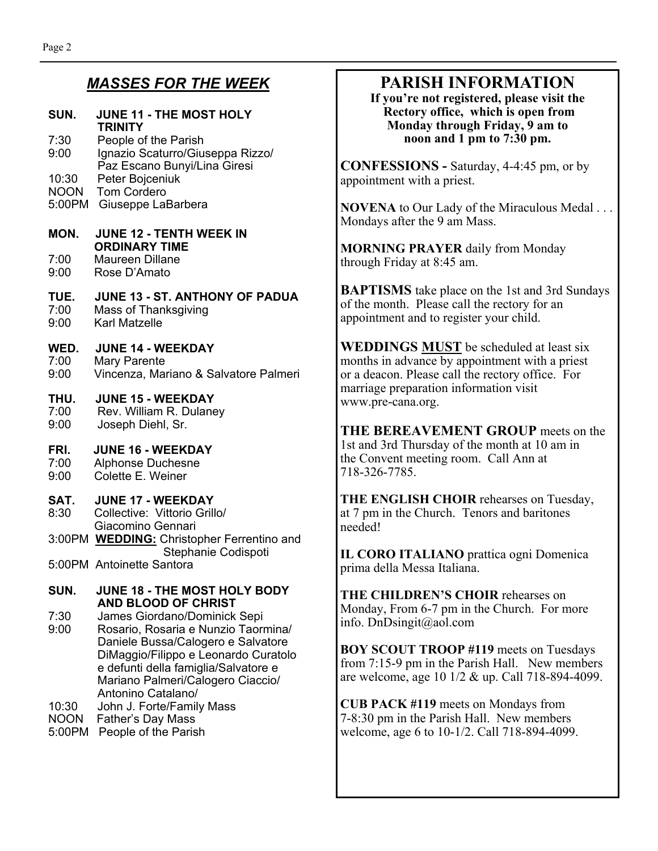### *MASSES FOR THE WEEK*

### **SUN. JUNE 11 - THE MOST HOLY TRINITY**

7:30 People of the Parish 9:00 Ignazio Scaturro/Giuseppa Rizzo/ Paz Escano Bunyi/Lina Giresi 10:30 Peter Bojceniuk NOON Tom Cordero

5:00PM Giuseppe LaBarbera

### **MON. JUNE 12 - TENTH WEEK IN ORDINARY TIME**

7:00 Maureen Dillane 9:00 Rose D'Amato

### **TUE. JUNE 13 - ST. ANTHONY OF PADUA**

7:00 Mass of Thanksgiving 9:00 Karl Matzelle

**WED. JUNE 14 - WEEKDAY**<br>7:00 Mary Parente 7:00 Mary Parente<br>9:00 Vincenza, Mar 9:00 Vincenza, Mariano & Salvatore Palmeri

### **THU. JUNE 15 - WEEKDAY**

7:00 Rev. William R. Dulaney 9:00 Joseph Diehl, Sr.

#### **FRI. JUNE 16 - WEEKDAY**

7:00 Alphonse Duchesne

9:00 Colette E. Weiner

### **SAT. JUNE 17 - WEEKDAY**

- 8:30 Collective: Vittorio Grillo/ Giacomino Gennari 3:00PM **WEDDING:** Christopher Ferrentino and Stephanie Codispoti
- 5:00PM Antoinette Santora

#### **SUN. JUNE 18 - THE MOST HOLY BODY AND BLOOD OF CHRIST**

- 7:30 James Giordano/Dominick Sepi 9:00 Rosario, Rosaria e Nunzio Taormina/ Daniele Bussa/Calogero e Salvatore DiMaggio/Filippo e Leonardo Curatolo e defunti della famiglia/Salvatore e Mariano Palmeri/Calogero Ciaccio/ Antonino Catalano/
- 10:30 John J. Forte/Family Mass
- NOON Father's Day Mass
- 5:00PM People of the Parish

### **PARISH INFORMATION**

**If you're not registered, please visit the Rectory office, which is open from Monday through Friday, 9 am to noon and 1 pm to 7:30 pm.** 

**CONFESSIONS -** Saturday, 4-4:45 pm, or by appointment with a priest.

**NOVENA** to Our Lady of the Miraculous Medal . . . Mondays after the 9 am Mass.

**MORNING PRAYER** daily from Monday through Friday at 8:45 am.

**BAPTISMS** take place on the 1st and 3rd Sundays of the month. Please call the rectory for an appointment and to register your child.

**WEDDINGS MUST** be scheduled at least six months in advance by appointment with a priest or a deacon. Please call the rectory office. For marriage preparation information visit www.pre-cana.org.

**THE BEREAVEMENT GROUP** meets on the 1st and 3rd Thursday of the month at 10 am in the Convent meeting room. Call Ann at 718-326-7785.

**THE ENGLISH CHOIR** rehearses on Tuesday, at 7 pm in the Church. Tenors and baritones needed!

**IL CORO ITALIANO** prattica ogni Domenica prima della Messa Italiana.

**THE CHILDREN'S CHOIR** rehearses on Monday, From 6-7 pm in the Church. For more info. DnDsingit@aol.com

**BOY SCOUT TROOP #119** meets on Tuesdays from 7:15-9 pm in the Parish Hall. New members are welcome, age 10 1/2 & up. Call 718-894-4099.

**CUB PACK #119** meets on Mondays from 7-8:30 pm in the Parish Hall. New members welcome, age 6 to 10-1/2. Call 718-894-4099.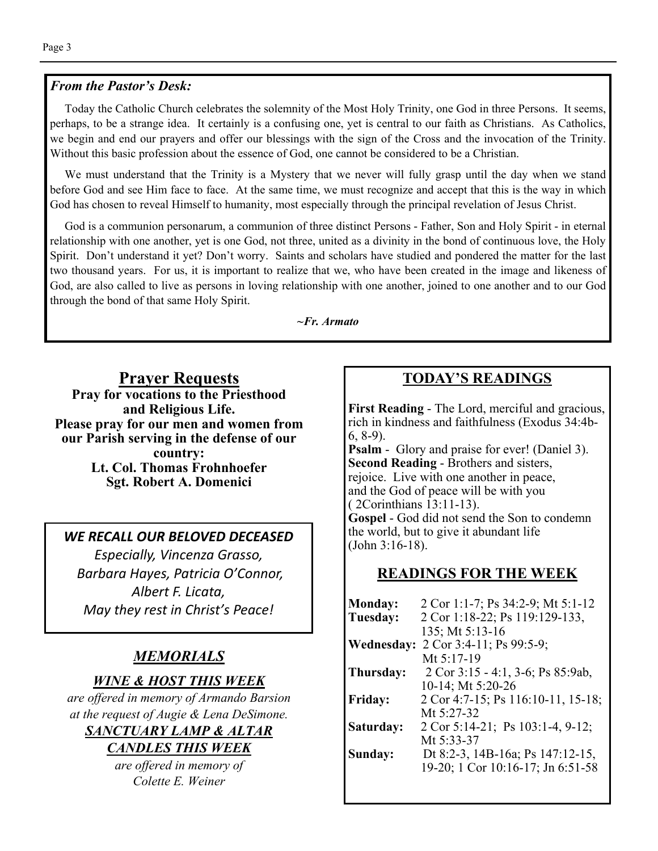### *From the Pastor's Desk:*

 Today the Catholic Church celebrates the solemnity of the Most Holy Trinity, one God in three Persons. It seems, perhaps, to be a strange idea. It certainly is a confusing one, yet is central to our faith as Christians. As Catholics, we begin and end our prayers and offer our blessings with the sign of the Cross and the invocation of the Trinity. Without this basic profession about the essence of God, one cannot be considered to be a Christian.

 We must understand that the Trinity is a Mystery that we never will fully grasp until the day when we stand before God and see Him face to face. At the same time, we must recognize and accept that this is the way in which God has chosen to reveal Himself to humanity, most especially through the principal revelation of Jesus Christ.

 God is a communion personarum, a communion of three distinct Persons - Father, Son and Holy Spirit - in eternal relationship with one another, yet is one God, not three, united as a divinity in the bond of continuous love, the Holy Spirit. Don't understand it yet? Don't worry. Saints and scholars have studied and pondered the matter for the last two thousand years. For us, it is important to realize that we, who have been created in the image and likeness of God, are also called to live as persons in loving relationship with one another, joined to one another and to our God through the bond of that same Holy Spirit.

#### *~Fr. Armato*

**Prayer Requests Pray for vocations to the Priesthood and Religious Life. Please pray for our men and women from our Parish serving in the defense of our country: Lt. Col. Thomas Frohnhoefer Sgt. Robert A. Domenici** 

### *WE RECALL OUR BELOVED DECEASED*

*Especially, Vincenza Grasso, Barbara Hayes, Patricia O'Connor, Albert F. Licata, May they rest in Christ's Peace!* 

### *MEMORIALS*

### *WINE & HOST THIS WEEK*

*are offered in memory of Armando Barsion at the request of Augie & Lena DeSimone. SANCTUARY LAMP & ALTAR CANDLES THIS WEEK* 

> *are offered in memory of Colette E. Weiner*

### **TODAY'S READINGS**

**First Reading** - The Lord, merciful and gracious, rich in kindness and faithfulness (Exodus 34:4b-6, 8-9).

**Psalm** - Glory and praise for ever! (Daniel 3). **Second Reading** - Brothers and sisters, rejoice. Live with one another in peace, and the God of peace will be with you ( 2Corinthians 13:11-13). **Gospel** - God did not send the Son to condemn

the world, but to give it abundant life (John 3:16-18).

### **READINGS FOR THE WEEK**

| <b>Monday:</b> | 2 Cor 1:1-7; Ps 34:2-9; Mt 5:1-12  |
|----------------|------------------------------------|
| Tuesday:       | 2 Cor 1:18-22; Ps 119:129-133,     |
|                | 135; Mt 5:13-16                    |
| Wednesday:     | 2 Cor 3:4-11; Ps 99:5-9;           |
|                | Mt $5:17-19$                       |
| Thursday:      | 2 Cor 3:15 - 4:1, 3-6; Ps 85:9ab,  |
|                | 10-14; Mt 5:20-26                  |
| <b>Friday:</b> | 2 Cor 4:7-15; Ps 116:10-11, 15-18; |
|                | Mt $5:27-32$                       |
| Saturday:      | 2 Cor 5:14-21; Ps 103:1-4, 9-12;   |
|                | Mt 5:33-37                         |
| Sunday:        | Dt 8:2-3, 14B-16a; Ps 147:12-15,   |
|                | 19-20; 1 Cor 10:16-17; Jn 6:51-58  |
|                |                                    |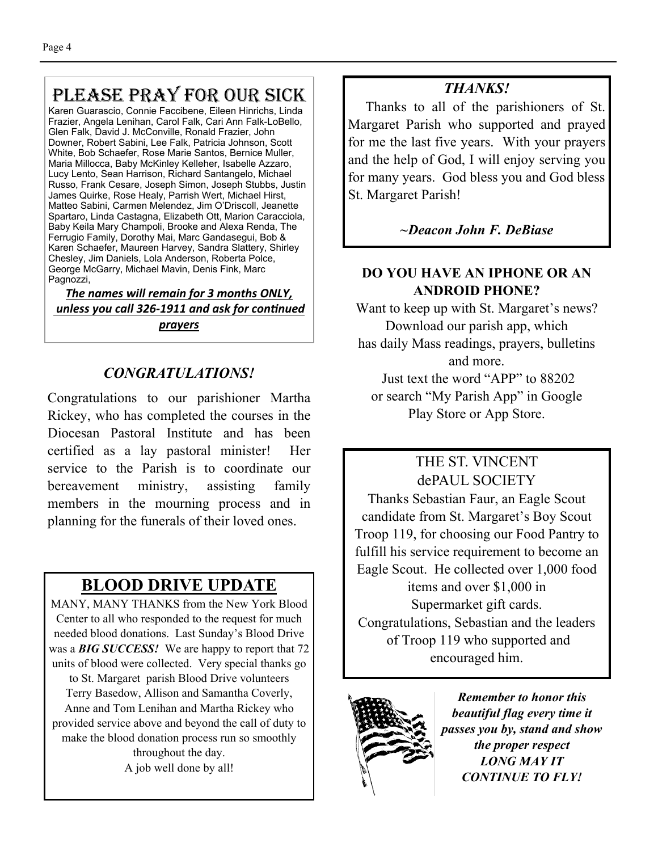## PLEASE PRAY FOR OUR SICK

Karen Guarascio, Connie Faccibene, Eileen Hinrichs, Linda Frazier, Angela Lenihan, Carol Falk, Cari Ann Falk-LoBello, Glen Falk, David J. McConville, Ronald Frazier, John Downer, Robert Sabini, Lee Falk, Patricia Johnson, Scott White, Bob Schaefer, Rose Marie Santos, Bernice Muller, Maria Millocca, Baby McKinley Kelleher, Isabelle Azzaro, Lucy Lento, Sean Harrison, Richard Santangelo, Michael Russo, Frank Cesare, Joseph Simon, Joseph Stubbs, Justin James Quirke, Rose Healy, Parrish Wert, Michael Hirst, Matteo Sabini, Carmen Melendez, Jim O'Driscoll, Jeanette Spartaro, Linda Castagna, Elizabeth Ott, Marion Caracciola, Baby Keila Mary Champoli, Brooke and Alexa Renda, The Ferrugio Family, Dorothy Mai, Marc Gandasegui, Bob & Karen Schaefer, Maureen Harvey, Sandra Slattery, Shirley Chesley, Jim Daniels, Lola Anderson, Roberta Polce, George McGarry, Michael Mavin, Denis Fink, Marc Pagnozzi,

*The names will remain for 3 months ONLY,*  **unless you call 326-1911 and ask for continued** *prayers*

### *CONGRATULATIONS!*

Congratulations to our parishioner Martha Rickey, who has completed the courses in the Diocesan Pastoral Institute and has been certified as a lay pastoral minister! Her service to the Parish is to coordinate our bereavement ministry, assisting family members in the mourning process and in planning for the funerals of their loved ones.

### **BLOOD DRIVE UPDATE**

MANY, MANY THANKS from the New York Blood Center to all who responded to the request for much needed blood donations. Last Sunday's Blood Drive was a *BIG SUCCESS!* We are happy to report that 72 units of blood were collected. Very special thanks go to St. Margaret parish Blood Drive volunteers Terry Basedow, Allison and Samantha Coverly, Anne and Tom Lenihan and Martha Rickey who provided service above and beyond the call of duty to make the blood donation process run so smoothly throughout the day. A job well done by all!

### *THANKS!*

 Thanks to all of the parishioners of St. Margaret Parish who supported and prayed for me the last five years. With your prayers and the help of God, I will enjoy serving you for many years. God bless you and God bless St. Margaret Parish!

### *~Deacon John F. DeBiase*

### **DO YOU HAVE AN IPHONE OR AN ANDROID PHONE?**

Want to keep up with St. Margaret's news? Download our parish app, which has daily Mass readings, prayers, bulletins and more. Just text the word "APP" to 88202

or search "My Parish App" in Google Play Store or App Store.

### THE ST. VINCENT dePAUL SOCIETY

Thanks Sebastian Faur, an Eagle Scout candidate from St. Margaret's Boy Scout Troop 119, for choosing our Food Pantry to fulfill his service requirement to become an Eagle Scout. He collected over 1,000 food items and over \$1,000 in Supermarket gift cards. Congratulations, Sebastian and the leaders of Troop 119 who supported and encouraged him.



*Remember to honor this beautiful flag every time it passes you by, stand and show the proper respect LONG MAY IT CONTINUE TO FLY!*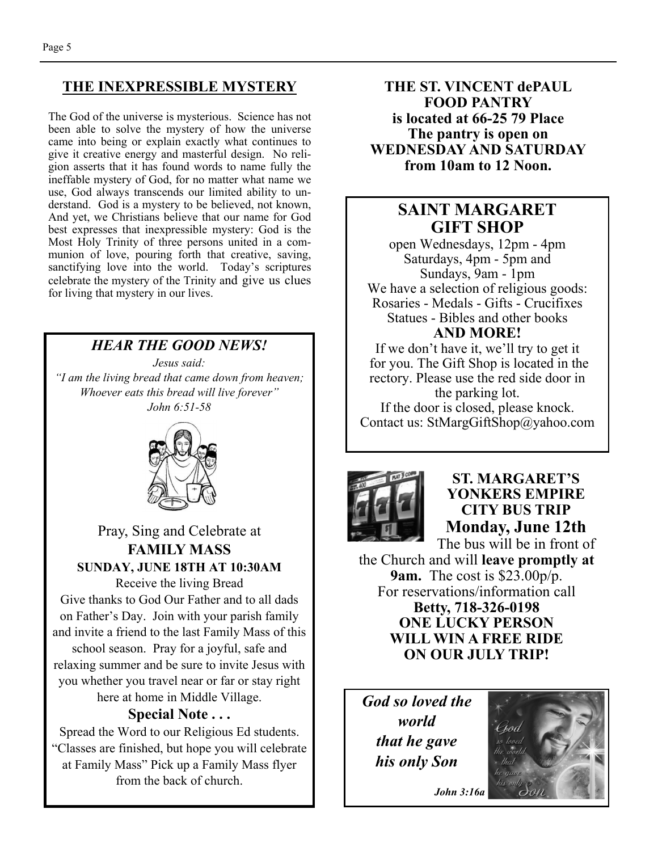### **THE INEXPRESSIBLE MYSTERY**

The God of the universe is mysterious. Science has not been able to solve the mystery of how the universe came into being or explain exactly what continues to give it creative energy and masterful design. No religion asserts that it has found words to name fully the ineffable mystery of God, for no matter what name we use, God always transcends our limited ability to understand. God is a mystery to be believed, not known, And yet, we Christians believe that our name for God best expresses that inexpressible mystery: God is the Most Holy Trinity of three persons united in a communion of love, pouring forth that creative, saving, sanctifying love into the world. Today's scriptures celebrate the mystery of the Trinity and give us clues for living that mystery in our lives.

### *HEAR THE GOOD NEWS!*

*Jesus said: "I am the living bread that came down from heaven; Whoever eats this bread will live forever" John 6:51-58* 



Pray, Sing and Celebrate at **FAMILY MASS SUNDAY, JUNE 18TH AT 10:30AM** 

Receive the living Bread Give thanks to God Our Father and to all dads on Father's Day. Join with your parish family and invite a friend to the last Family Mass of this

school season. Pray for a joyful, safe and relaxing summer and be sure to invite Jesus with you whether you travel near or far or stay right here at home in Middle Village.

## **Special Note . . .**

Spread the Word to our Religious Ed students. "Classes are finished, but hope you will celebrate at Family Mass" Pick up a Family Mass flyer from the back of church.

**THE ST. VINCENT dePAUL FOOD PANTRY is located at 66-25 79 Place The pantry is open on WEDNESDAY AND SATURDAY from 10am to 12 Noon.** 

### **SAINT MARGARET GIFT SHOP**

open Wednesdays, 12pm - 4pm Saturdays, 4pm - 5pm and Sundays, 9am - 1pm We have a selection of religious goods: Rosaries - Medals - Gifts - Crucifixes Statues - Bibles and other books **AND MORE!** 

If we don't have it, we'll try to get it for you. The Gift Shop is located in the rectory. Please use the red side door in the parking lot. If the door is closed, please knock. Contact us: StMargGiftShop@yahoo.com



### **ST. MARGARET'S YONKERS EMPIRE CITY BUS TRIP Monday, June 12th**  The bus will be in front of

the Church and will **leave promptly at 9am.** The cost is \$23.00p/p. For reservations/information call **Betty, 718-326-0198 ONE LUCKY PERSON WILL WIN A FREE RIDE ON OUR JULY TRIP!** 

*God so loved the world that he gave his only Son* 



*John 3:16a*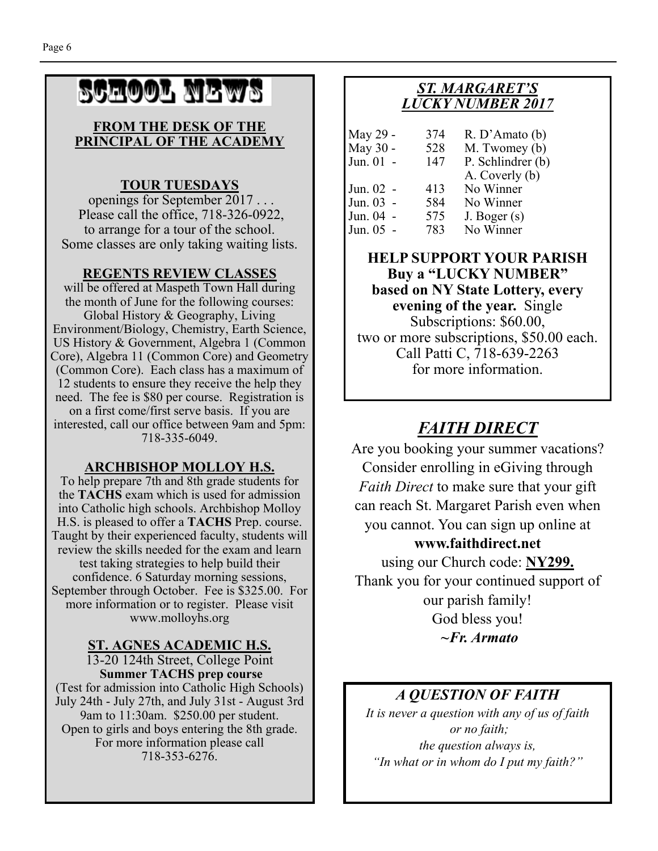# SCHOOL NEWS

#### **FROM THE DESK OF THE PRINCIPAL OF THE ACADEMY**

### **TOUR TUESDAYS**

 openings for September 2017 . . . Please call the office, 718-326-0922, to arrange for a tour of the school. Some classes are only taking waiting lists.

### **REGENTS REVIEW CLASSES**

will be offered at Maspeth Town Hall during the month of June for the following courses: Global History & Geography, Living Environment/Biology, Chemistry, Earth Science, US History & Government, Algebra 1 (Common Core), Algebra 11 (Common Core) and Geometry (Common Core). Each class has a maximum of 12 students to ensure they receive the help they need. The fee is \$80 per course. Registration is on a first come/first serve basis. If you are interested, call our office between 9am and 5pm: 718-335-6049.

### **ARCHBISHOP MOLLOY H.S.**

To help prepare 7th and 8th grade students for the **TACHS** exam which is used for admission into Catholic high schools. Archbishop Molloy H.S. is pleased to offer a **TACHS** Prep. course. Taught by their experienced faculty, students will review the skills needed for the exam and learn test taking strategies to help build their confidence. 6 Saturday morning sessions, September through October. Fee is \$325.00. For more information or to register. Please visit www.molloyhs.org

### **ST. AGNES ACADEMIC H.S.**

13-20 124th Street, College Point **Summer TACHS prep course**  (Test for admission into Catholic High Schools) July 24th - July 27th, and July 31st - August 3rd 9am to 11:30am. \$250.00 per student. Open to girls and boys entering the 8th grade. For more information please call 718-353-6276.

### *ST. MARGARET'S LUCKY NUMBER 2017*

| May 29 -  | 374 | R. D'Amato(b)     |
|-----------|-----|-------------------|
| May 30 -  | 528 | M. Twomey (b)     |
| Jun. 01 - | 147 | P. Schlindrer (b) |
|           |     | A. Coverly (b)    |
| Jun. 02 - | 413 | No Winner         |
| Jun. 03 - | 584 | No Winner         |
| Jun. 04 - | 575 | J. Boger (s)      |
| Jun. 05 - | 783 | No Winner         |

**HELP SUPPORT YOUR PARISH Buy a "LUCKY NUMBER" based on NY State Lottery, every evening of the year.** Single Subscriptions: \$60.00, two or more subscriptions, \$50.00 each. Call Patti C, 718-639-2263 for more information.

### *FAITH DIRECT*

Are you booking your summer vacations? Consider enrolling in eGiving through *Faith Direct* to make sure that your gift can reach St. Margaret Parish even when you cannot. You can sign up online at **www.faithdirect.net** 

using our Church code: **NY299.**  Thank you for your continued support of our parish family! God bless you! *~Fr. Armato* 

### *A QUESTION OF FAITH*

*It is never a question with any of us of faith or no faith; the question always is, "In what or in whom do I put my faith?"*